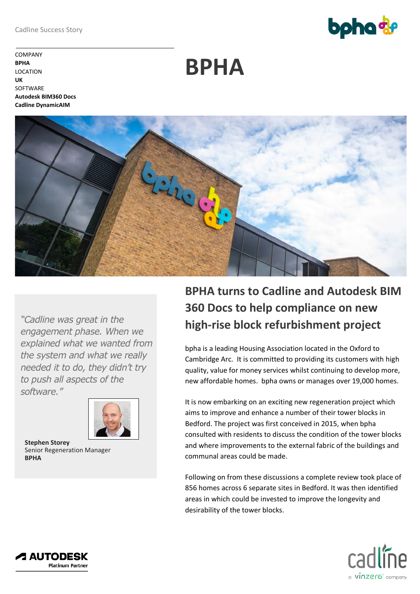**bpha** 

COMPANY **BPHA** LOCATION **UK SOFTWARE Autodesk BIM360 Docs Cadline DynamicAIM**

**BPHA**



*"Cadline was great in the engagement phase. When we explained what we wanted from the system and what we really needed it to do, they didn't try to push all aspects of the software."*



**Stephen Storey** Senior Regeneration Manager **BPHA**

## **BPHA turns to Cadline and Autodesk BIM 360 Docs to help compliance on new high-rise block refurbishment project**

bpha is a leading Housing Association located in the Oxford to Cambridge Arc. It is committed to providing its customers with high quality, value for money services whilst continuing to develop more, new affordable homes. bpha owns or manages over 19,000 homes.

It is now embarking on an exciting new regeneration project which aims to improve and enhance a number of their tower blocks in Bedford. The project was first conceived in 2015, when bpha consulted with residents to discuss the condition of the tower blocks and where improvements to the external fabric of the buildings and communal areas could be made.

Following on from these discussions a complete review took place of 856 homes across 6 separate sites in Bedford. It was then identified areas in which could be invested to improve the longevity and desirability of the tower blocks.



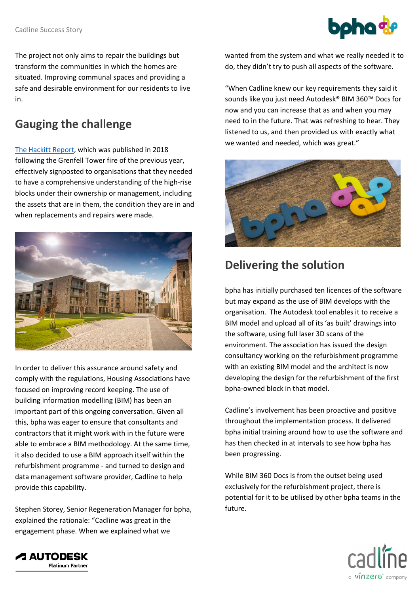

The project not only aims to repair the buildings but transform the communities in which the homes are situated. Improving communal spaces and providing a safe and desirable environment for our residents to live in.

## **Gauging the challenge**

[The Hackitt Report,](https://assets.publishing.service.gov.uk/government/uploads/system/uploads/attachment_data/file/707785/Building_a_Safer_Future_-_web.pdf) which was published in 2018 following the Grenfell Tower fire of the previous year, effectively signposted to organisations that they needed to have a comprehensive understanding of the high-rise blocks under their ownership or management, including the assets that are in them, the condition they are in and when replacements and repairs were made.



In order to deliver this assurance around safety and comply with the regulations, Housing Associations have focused on improving record keeping. The use of building information modelling (BIM) has been an important part of this ongoing conversation. Given all this, bpha was eager to ensure that consultants and contractors that it might work with in the future were able to embrace a BIM methodology. At the same time, it also decided to use a BIM approach itself within the refurbishment programme - and turned to design and data management software provider, Cadline to help provide this capability.

Stephen Storey, Senior Regeneration Manager for bpha, explained the rationale: "Cadline was great in the engagement phase. When we explained what we

wanted from the system and what we really needed it to do, they didn't try to push all aspects of the software.

"When Cadline knew our key requirements they said it sounds like you just need Autodesk® BIM 360™ Docs for now and you can increase that as and when you may need to in the future. That was refreshing to hear. They listened to us, and then provided us with exactly what we wanted and needed, which was great."



## **Delivering the solution**

bpha has initially purchased ten licences of the software but may expand as the use of BIM develops with the organisation. The Autodesk tool enables it to receive a BIM model and upload all of its 'as built' drawings into the software, using full laser 3D scans of the environment. The association has issued the design consultancy working on the refurbishment programme with an existing BIM model and the architect is now developing the design for the refurbishment of the first bpha-owned block in that model.

Cadline's involvement has been proactive and positive throughout the implementation process. It delivered bpha initial training around how to use the software and has then checked in at intervals to see how bpha has been progressing.

While BIM 360 Docs is from the outset being used exclusively for the refurbishment project, there is potential for it to be utilised by other bpha teams in the future.